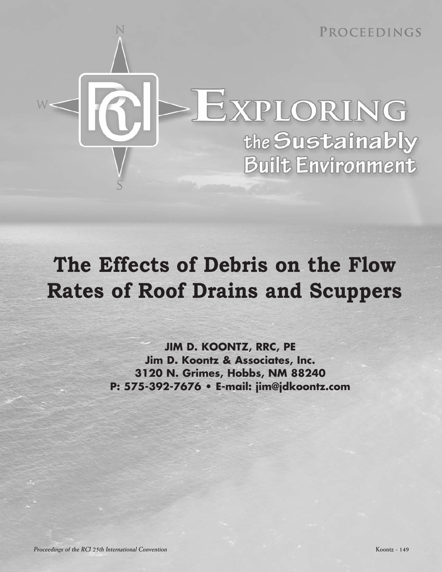

# **The Effects of Debris on the Flow Rates of Roof Drains and Scuppers**

**JIM D. KOONTZ, RRC, PE Jim D. Koontz & Associates, Inc. 3120 N. Grimes, Hobbs, NM 88240 P: 5753927676 • Email: jim@jdkoontz.com**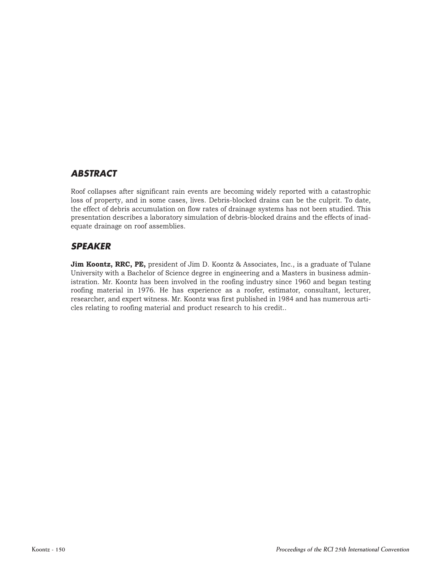# *ABSTRACT*

Roof collapses after significant rain events are becoming widely reported with a catastrophic loss of property, and in some cases, lives. Debris-blocked drains can be the culprit. To date, the effect of debris accumulation on flow rates of drainage systems has not been studied. This presentation describes a laboratory simulation of debris-blocked drains and the effects of inadequate drainage on roof assemblies.

# *SPEAKER*

**Jim Koontz, RRC, PE,** president of Jim D. Koontz & Associates, Inc., is a graduate of Tulane University with a Bachelor of Science degree in engineering and a Masters in business administration. Mr. Koontz has been involved in the roofing industry since 1960 and began testing roofing material in 1976. He has experience as a roofer, estimator, consultant, lecturer, researcher, and expert witness. Mr. Koontz was first published in 1984 and has numerous articles relating to roofing material and product research to his credit..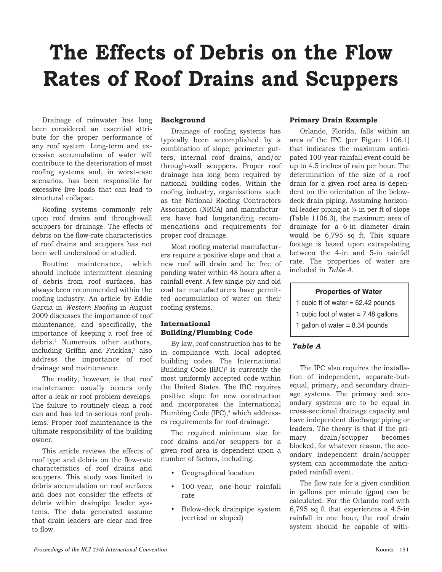# **The Effects of Debris on the Flow Rates of Roof Drains and Scuppers**

Drainage of rainwater has long been considered an essential attri bute for the proper performance of any roof system. Long-term and excessive accumulation of water will contribute to the deterioration of most roofing systems and, in worst-case scenarios, has been responsible for excessive live loads that can lead to structural collapse.

 Roofing systems commonly rely upon roof drains and through-wall scuppers for drainage. The effects of debris on the flow-rate characteristics of roof drains and scuppers has not been well understood or studied.

 of debris from roof surfaces, has maintenance, and specifically, the debris.1 Numerous other authors, address the importance of roof Routine maintenance, which should include intermittent cleaning always been recommended within the roofing industry. An article by Eddie Garcia in *Western Roofing* in August 2009 discusses the importance of roof importance of keeping a roof free of including Griffin and Fricklas,<sup>2</sup> also drainage and maintenance.

 maintenance usually occurs only The reality, however, is that roof after a leak or roof problem develops. The failure to routinely clean a roof can and has led to serious roof problems. Proper roof maintenance is the ultimate responsibility of the building owner.

 characteristics of roof drains and tems. The data generated assume This article reviews the effects of roof type and debris on the flow-rate scuppers. This study was limited to debris accumulation on roof surfaces and does not consider the effects of debris within drainpipe leader systhat drain leaders are clear and free to flow.

## **Background**

 typically been accomplished by a ters, internal roof drains, and/or mendations and requirements for Drainage of roofing systems has combination of slope, perimeter gutthrough-wall scuppers. Proper roof drainage has long been required by national building codes. Within the roofing industry, organizations such as the National Roofing Contractors Association (NRCA) and manufacturers have had longstanding recomproper roof drainage.

Most roofing material manufacturers require a positive slope and that a new roof will drain and be free of ponding water within 48 hours after a rainfall event. A few single-ply and old coal tar manufacturers have permitted accumulation of water on their roofing systems.

# **International Building/Plumbing Code**

 in compliance with local adopted building codes. The International and incorporates the International By law, roof construction has to be Building Code  $(IBC)<sup>3</sup>$  is currently the most uniformly accepted code within the United States. The IBC requires positive slope for new construction Plumbing Code (IPC),<sup>4</sup> which addresses requirements for roof drainage.

The required minimum size for roof drains and/or scuppers for a given roof area is dependent upon a number of factors, including:

- • Geographical location
- 100-year, one-hour rainfall rate
- Below-deck drainpipe system (vertical or sloped)

# **Primary Drain Example**

 rate. The properties of water are Orlando, Florida, falls within an area of the IPC (per Figure 1106.1) that indicates the maximum anticipated 100-year rainfall event could be up to 4.5 inches of rain per hour. The determination of the size of a roof drain for a given roof area is dependent on the orientation of the belowdeck drain piping. Assuming horizontal leader piping at  $\frac{1}{4}$  in per ft of slope (Table 1106.3), the maximum area of drainage for a 6-in diameter drain would be 6,795 sq ft. This square footage is based upon extrapolating between the 4-in and 5-in rainfall included in *Table A*.

# **Properties of Water**

1 cubic ft of water  $= 62.42$  pounds

- 1 cubic foot of water  $= 7.48$  gallons
- 1 gallon of water  $= 8.34$  pounds

# *Table A*

tion of independent, separate-but-The IPC also requires the installaequal, primary, and secondary drain age systems. The primary and secondary systems are to be equal in crosssectional drainage capacity and have independent discharge piping or leaders. The theory is that if the primary drain/scupper becomes blocked, for whatever reason, the secondary independent drain/scupper system can accommodate the anticipated rainfall event.

The flow rate for a given condition in gallons per minute (gpm) can be calculated. For the Orlando roof with  $6,795$  sq ft that experiences a 4.5-in rainfall in one hour, the roof drain system should be capable of with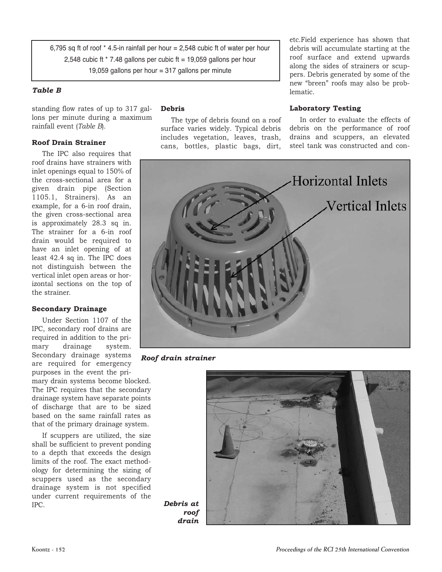6,795 sq ft of roof  $*$  4.5-in rainfall per hour = 2,548 cubic ft of water per hour 2,548 cubic ft  $*$  7.48 gallons per cubic ft = 19,059 gallons per hour 19,059 gallons per hour = 317 gallons per minute

# *Table B*

standing flow rates of up to 317 gallons per minute during a maximum rainfall event (*Table B*).

# **Roof Drain Strainer**

 given drain pipe (Section 1105.1, Strainers). As an drain would be required to not distinguish between the The IPC also requires that roof drains have strainers with inlet openings equal to 150% of the cross-sectional area for a example, for a 6-in roof drain, the given cross-sectional area is approximately 28.3 sq in. The strainer for a 6-in roof have an inlet opening of at least 42.4 sq in. The IPC does vertical inlet open areas or horizontal sections on the top of the strainer.

# **Secondary Drainage**

 Secondary drainage systems are required for emergency Under Section 1107 of the IPC, secondary roof drains are required in addition to the primary drainage system. purposes in the event the pri-

mary drain systems become blocked. The IPC requires that the secondary drainage system have separate points of discharge that are to be sized based on the same rainfall rates as that of the primary drainage system.

 scuppers used as the secondary drainage system is not specified If scuppers are utilized, the size shall be sufficient to prevent ponding to a depth that exceeds the design limits of the roof. The exact methodology for determining the sizing of under current requirements of the IPC.

 includes vegetation, leaves, trash, drains and scuppers, an elevated cans, bottles, plastic bags, dirt, steel tank was constructed and con-

 roof surface and extend upwards etc.Field experience has shown that debris will accumulate starting at the along the sides of strainers or scuppers. Debris generated by some of the new "breen" roofs may also be problematic.

# **Debris Laboratory Testing**

drains and scuppers, an elevated The type of debris found on a roof In order to evaluate the effects of surface varies widely. Typical debris debris on the performance of roof



*Roof drain strainer*



*Debris at roof drain*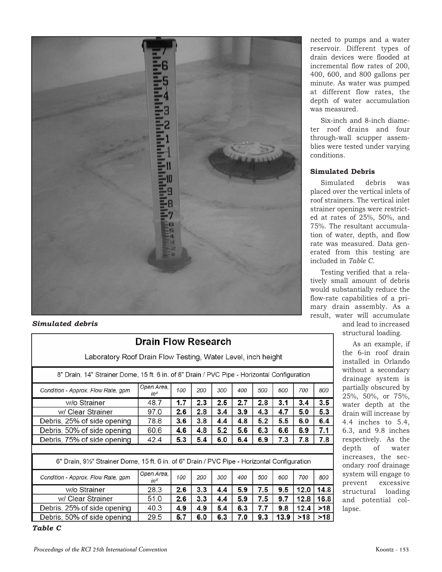

# *Simulated debris*

| Laboratory Roof Drain Flow Testing, Water Level, inch height                                  |                      |     |     |     |     |     |      |      |       |  |
|-----------------------------------------------------------------------------------------------|----------------------|-----|-----|-----|-----|-----|------|------|-------|--|
| 8" Drain, 14" Strainer Dome, 15 ft. 6 in. of 8" Drain / PVC Pipe - Horizontal Configuration   |                      |     |     |     |     |     |      |      |       |  |
| Condition - Approx. Flow Rate, gpm                                                            | Open Area,<br>$in^2$ | 100 | 200 | 300 | 400 | 500 | 600  | 700  | 800   |  |
| w/o Strainer                                                                                  | 48.7                 | 1.7 | 2.3 | 2.5 | 2.7 | 2.8 | 3.1  | 3.4  | 3.5   |  |
| w/ Clear Strainer                                                                             | 97.0                 | 2.6 | 2.8 | 3.4 | 3.9 | 4.3 | 4.7  | 5.0  | 5.3   |  |
| Debris, 25% of side opening                                                                   | 78.8                 | 3.6 | 3.8 | 4.4 | 4.8 | 5.2 | 5.5  | 6.0  | 6.4   |  |
| Debris, 50% of side opening                                                                   | 60.6                 | 4.6 | 4.8 | 5.2 | 5.6 | 6.3 | 6.6  | 6.9  | 7.1   |  |
| Debris, 75% of side opening                                                                   | 42.4                 | 5.3 | 5.4 | 6.0 | 6.4 | 6.9 | 7.3  | 7.8  | 7.8   |  |
|                                                                                               |                      |     |     |     |     |     |      |      |       |  |
| 6" Drain, 91/2" Strainer Dome, 15 ft. 6 in. of 6" Drain / PVC Pipe - Horizontal Configuration |                      |     |     |     |     |     |      |      |       |  |
| Condition - Approx. Flow Rate, gpm                                                            | Open Area.<br>$in^2$ | 100 | 200 | 300 | 400 | 500 | 600  | 700  | 800   |  |
| w/o Strainer                                                                                  | 28.3                 | 2.6 | 3.3 | 4.4 | 5.9 | 7.5 | 9.5  | 12.0 | 14.8  |  |
| w/ Clear Strainer                                                                             | 51.0                 | 2.6 | 3.3 | 4.4 | 5.9 | 7.5 | 9.7  | 12.8 | 16.8  |  |
| Debris, 25% of side opening                                                                   | 40.3                 | 4.9 | 4.9 | 5.4 | 6.3 | 7.7 | 9.8  | 12.4 | >18   |  |
| Debris, 50% of side opening                                                                   | 29.5                 | 5.7 | 6.0 | 6.3 | 7.0 | 9.3 | 13.9 | >18  | $>18$ |  |
| 7.1.7.7                                                                                       |                      |     |     |     |     |     |      |      |       |  |

Drain Flow Research

# *Table C*

 reservoir. Different types of at different flow rates, the nected to pumps and a water drain devices were flooded at incremental flow rates of 200, 400, 600, and 800 gallons per minute. As water was pumped depth of water accumulation was measured.

 ter roof drains and four through-wall scupper assem-Six-inch and 8-inch diameblies were tested under varying conditions.

# **Simulated Debris**

debris erated from this testing are Simulated debris was placed over the vertical inlets of roof strainers. The vertical inlet strainer openings were restricted at rates of 25%, 50%, and 75%. The resultant accumulation of water, depth, and flow rate was measured. Data genincluded in *Table C*.

 mary drain assembly. As a Testing verified that a relatively small amount of debris would substantially reduce the flow-rate capabilities of a priresult, water will accumulate

and lead to increased structural loading.

 drainage system is 4.4 inches to 5.4, depth of water increases, the sec-As an example, if the 6-in roof drain installed in Orlando without a secondary partially obscured by 25%, 50%, or 75%, water depth at the drain will increase by 6.3, and 9.8 inches respectively. As the ondary roof drainage system will engage to prevent excessive structural loading and potential collapse.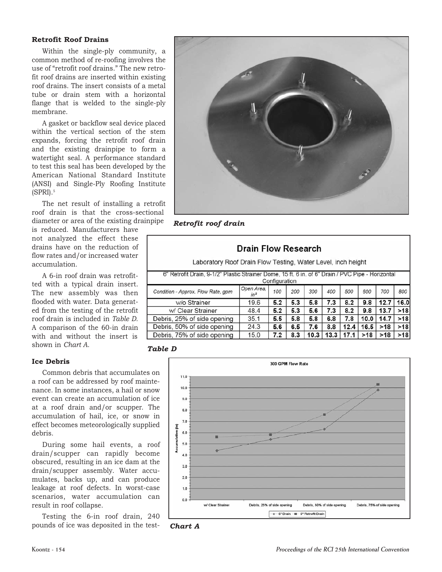# **Retrofit Roof Drains**

 tube or drain stem with a horizontal Within the single-ply community, a common method of re-roofing involves the use of "retrofit roof drains." The new retrofit roof drains are inserted within existing roof drains. The insert consists of a metal flange that is welded to the single-ply membrane.

 and the existing drainpipe to form a American National Standard Institute A gasket or backflow seal device placed within the vertical section of the stem expands, forcing the retrofit roof drain watertight seal. A performance standard to test this seal has been developed by the (ANSI) and Single-Ply Roofing Institute  $(SPRI).$ <sup>5</sup>

roof drain is that the cross-sectional The net result of installing a retrofit diameter or area of the existing drainpipe

 not analyzed the effect these is reduced. Manufacturers have drains have on the reduction of flow rates and/or increased water accumulation.

 The new assembly was then A 6-in roof drain was retrofitted with a typical drain insert. flooded with water. Data generated from the testing of the retrofit roof drain is included in *Table D*. A comparison of the 60-in drain with and without the insert is shown in *Chart A*.

# **Ice Debris**

Common debris that accumulates on a roof can be addressed by roof maintenance. In some instances, a hail or snow event can create an accumulation of ice at a roof drain and/or scupper. The accumulation of hail, ice, or snow in effect becomes meteorologically supplied debris.

 During some hail events, a roof drain/scupper can rapidly become scenarios, water accumulation can obscured, resulting in an ice dam at the drain/scupper assembly. Water accumulates, backs up, and can produce leakage at roof defects. In worst-case result in roof collapse.

Testing the 6-in roof drain, 240 pounds of ice was deposited in the test-



# *Retrofit roof drain*

| Drain Flow Research<br>Laboratory Roof Drain Flow Testing, Water Level, inch height<br>6" Retrofit Drain, 9-1/2" Plastic Strainer Dome, 15 ft. 6 in. of 6" Drain / PVC Pipe - Horizontal<br>Configuration |                      |     |     |     |     |      |      |      |       |
|-----------------------------------------------------------------------------------------------------------------------------------------------------------------------------------------------------------|----------------------|-----|-----|-----|-----|------|------|------|-------|
| Condition - Approx, Flow Rate, gpm                                                                                                                                                                        | Open Area.<br>$in^2$ | 100 | 200 | 300 | 400 | 500  | 600  | 700  | 800   |
| w/o Strainer                                                                                                                                                                                              | 19.6                 | 5.2 | 5.3 | 5.8 | 7.3 | 8.2  | 9.8  | 12.7 | 16.0  |
| w/ Clear Strainer                                                                                                                                                                                         | 48.4                 | 5.2 | 5.3 | 5.6 | 7.3 | 8.2  | 9.8  | 13.7 | $>18$ |
| Debris, 25% of side opening                                                                                                                                                                               | 35.1                 | 5.5 | 5.8 | 5.8 | 6.8 | 7.8  | 10.0 | 14.7 | >18   |
| Debris, 50% of side opening                                                                                                                                                                               | 24.3                 | 5.6 | 6.5 | 7.6 | 8.8 | 12.4 | 16.5 | >18  | >18   |
| Debris, 75% of side opening<br>15.0<br>10.3<br>13.3<br>>18<br>8.3<br>>18<br>7.2<br>17.1                                                                                                                   |                      |     |     |     |     |      | >18  |      |       |





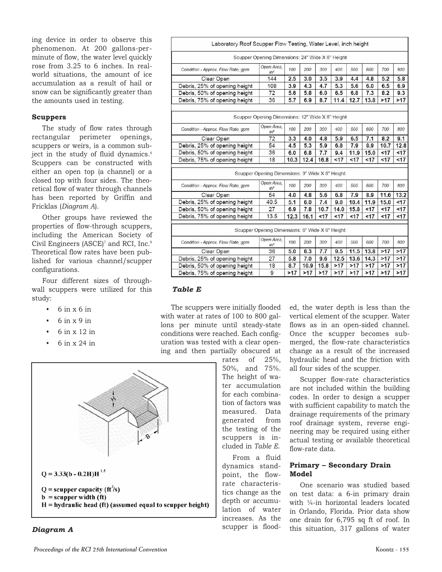phenomenon. At 200 gallons-pering device in order to observe this minute of flow, the water level quickly rose from 3.25 to 6 inches. In realworld situations, the amount of ice accumulation as a result of hail or snow can be significantly greater than the amounts used in testing.

## **Scuppers**

 has been reported by Griffin and The study of flow rates through rectangular perimeter openings, scuppers or weirs, is a common subject in the study of fluid dynamics.<sup>6</sup> Scuppers can be constructed with either an open top (a channel) or a closed top with four sides. The theoretical flow of water through channels Fricklas (*Diagram A*).

 including the American Society of Other groups have reviewed the properties of flow-through scuppers, Civil Engineers (ASCE)<sup>7</sup> and RCI, Inc.<sup>8</sup> Theoretical flow rates have been published for various channel/scupper configurations.

Four different sizes of throughwall scuppers were utilized for this study:

- $6$  in  $x$   $6$  in
- 6 in x 9 in
- 6 in x 12 in
- 6 in x 24 in





|                                    | Scupper Opening Dimensions: 24" Wide X 6" Height |      |      |      |      |      |      |      |      |
|------------------------------------|--------------------------------------------------|------|------|------|------|------|------|------|------|
| Condition - Approx. Flow Rate, gpm | Open Area.<br>$in^2$                             | 100  | 200  | 300  | 400  | 500  | 600  | 700  | 800  |
| Clear Open                         | 144                                              | 2.5  | 3.0  | 3.5  | 3.9  | 4.4  | 4.8  | 5.2  | 5.8  |
| Debris, 25% of opening height      | 108                                              | 3.9  | 4.3  | 4.7  | 5.3  | 5.6  | 6.0  | 6.5  | 6.9  |
| Debris, 50% of opening height      | 72                                               | 5.6  | 5.8  | 6.0  | 6.5  | 6.8  | 7.3  | 8.2  | 9.3  |
| Debris, 75% of opening height      | 36                                               | 5.7  | 6,9  | 8.7  | 11.4 | 12.7 | 13.8 | >17  | >17  |
|                                    | Scupper Opening Dimensions: 12" Wide X 6" Height |      |      |      |      |      |      |      |      |
| Condition - Approx. Flow Rate, gpm | Open Area,<br>$in^2$                             | 100  | 200  | 300  | 400  | 500  | 600  | 700  | 800  |
| Clear Open                         | 72                                               | 3.3  | 4.0  | 4.8  | 5.9  | 6.5  | 7.1  | 8.2  | 9.1  |
| Debris, 25% of opening height      | 54                                               | 4.5  | 5.3  | 5.9  | 6.8  | 7.9  | 8.9  | 10.7 | 12.8 |
| Debris, 50% of opening height      | 36                                               | 6.0  | 6,8  | 7.7  | 9.4  | 11.9 | 15.0 | < 17 | < 17 |
| Debris, 75% of opening height      | 18                                               | 10.3 | 12.4 | 16.8 | 17   | <17  | < 17 | 17   | < 17 |
|                                    | Scupper Opening Dimensions: 9" Wide X 6" Height  |      |      |      |      |      |      |      |      |
| Condition - Approx. Flow Rate, gpm | Open Area.<br>$in^2$                             | 100  | 200  | 300  | 400  | 500  | 600  | 700  | 800  |
| Clear Open                         | 54                                               | 4.0  | 4.8  | 5.6  | 6.8  | 7.9  | 8.9  | 11.6 | 13.2 |
| Debris, 25% of opening height      | 40.5                                             | 5.1  | 6,0  | 7.4  | 9.0  | 10.4 | 11.9 | 15.0 | < 17 |
| Debris, 50% of opening height      | 27                                               | 6.9  | 7.8  | 10.7 | 14.0 | 15.8 | < 17 | < 17 | <17  |
| Debris, 75% of opening height      | 13.5                                             | 12.3 | 16.1 | < 17 | < 17 | < 17 | < 17 | < 17 | <17  |
|                                    | Scupper Opening Dimensions: 6" Wide X 6" Height  |      |      |      |      |      |      |      |      |
| Condition - Approx. Flow Rate, gpm | Open Area.<br>$in^2$                             | 100  | 200  | 300  | 400  | 500  | 600  | 700  | 800  |
| Clear Open                         | 36                                               | 5.0  | 6.3  | 7.7  | 9.5  | 11.5 | 13.8 | >17  | >17  |
| Debris, 25% of opening height      | 27                                               | 5.8  | 7.0  | 9.6  | 12.5 | 13.6 | 14.3 | >17  | >17  |
|                                    |                                                  |      |      |      |      |      |      |      |      |
| Debris, 50% of opening height      | 18                                               | 8.7  | 10.9 | 15.8 | >17  | >17  | >17  | >17  | >17  |

### *Table E*

The scuppers were initially flooded with water at rates of 100 to 800 gallons per minute until steady-state conditions were reached. Each configuration was tested with a clear opening and then partially obscured at

> rates of 25%, 50%, and 75%. scuppers is in-The height of water accumulation for each combination of factors was measured. Data generated from the testing of the cluded in *Table E*.

 From a fluid point, the flow- lation of water dynamics standrate characteristics change as the depth or accumuincreases. As the scupper is flood-

 Once the scupper becomes subed, the water depth is less than the vertical element of the scupper. Water flows as in an open-sided channel. merged, the flow-rate characteristics change as a result of the increased hydraulic head and the friction with all four sides of the scupper.

Scupper flow-rate characteristics are not included within the building codes. In order to design a scupper with sufficient capability to match the drainage requirements of the primary roof drainage system, reverse engineering may be required using either actual testing or available theoretical flow-rate data.

## **Primary – Secondary Drain Model**

One scenario was studied based on test data: a 6-in primary drain with  $\frac{1}{4}$ -in horizontal leaders located in Orlando, Florida. Prior data show one drain for 6,795 sq ft of roof. In this situation, 317 gallons of water